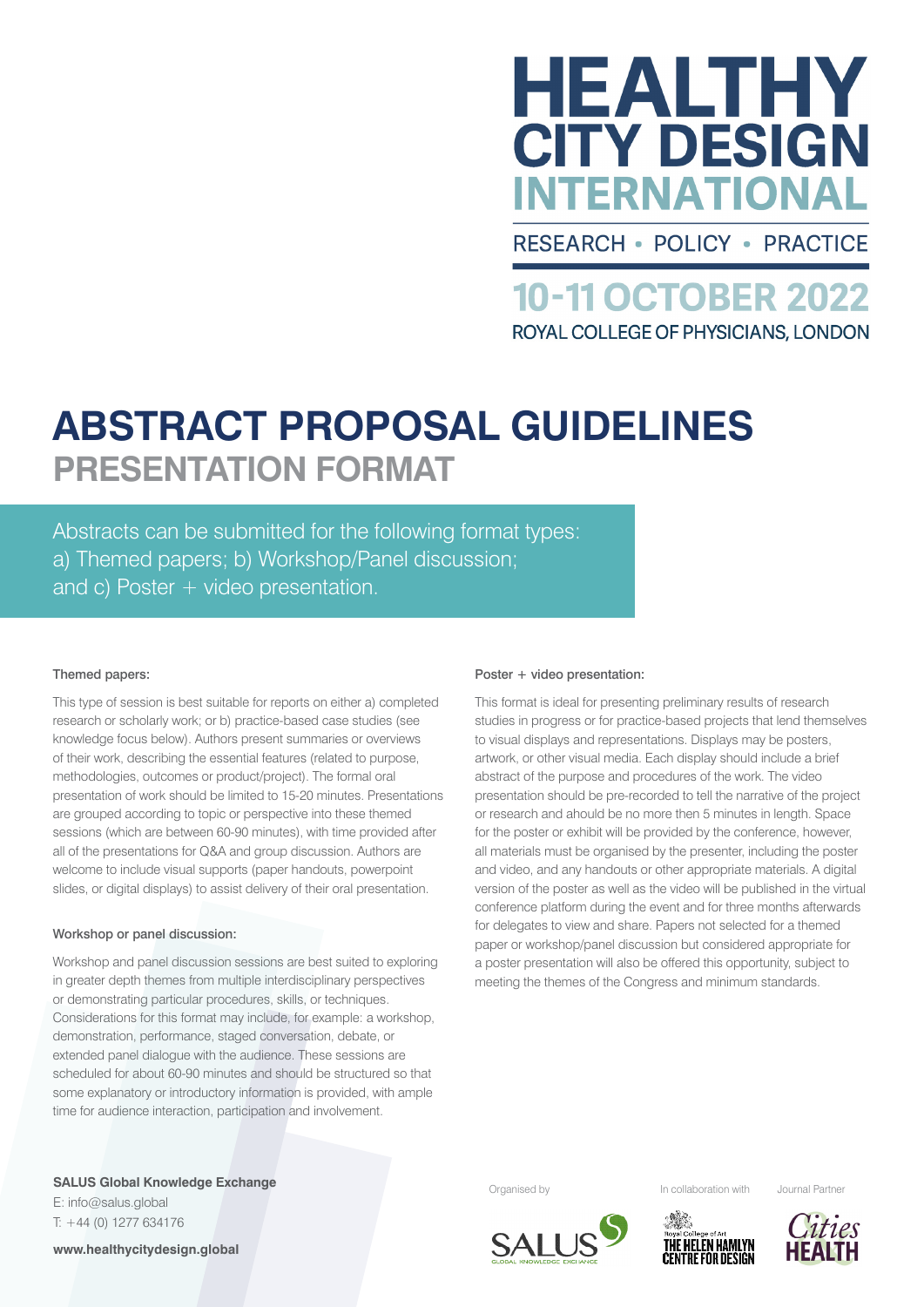

**RESEARCH • POLICY • PRACTICE** 

**10-11 OCTOBER 2022** ROYAL COLLEGE OF PHYSICIANS, LONDON

# **ABSTRACT PROPOSAL GUIDELINES PRESENTATION FORMAT**

Abstracts can be submitted for the following format types: a) Themed papers; b) Workshop/Panel discussion; and c) Poster + video presentation.

### Themed papers:

This type of session is best suitable for reports on either a) completed research or scholarly work; or b) practice-based case studies (see knowledge focus below). Authors present summaries or overviews of their work, describing the essential features (related to purpose, methodologies, outcomes or product/project). The formal oral presentation of work should be limited to 15-20 minutes. Presentations are grouped according to topic or perspective into these themed sessions (which are between 60-90 minutes), with time provided after all of the presentations for Q&A and group discussion. Authors are welcome to include visual supports (paper handouts, powerpoint slides, or digital displays) to assist delivery of their oral presentation.

### Workshop or panel discussion:

Workshop and panel discussion sessions are best suited to exploring in greater depth themes from multiple interdisciplinary perspectives or demonstrating particular procedures, skills, or techniques. Considerations for this format may include, for example: a workshop, demonstration, performance, staged conversation, debate, or extended panel dialogue with the audience. These sessions are scheduled for about 60-90 minutes and should be structured so that some explanatory or introductory information is provided, with ample time for audience interaction, participation and involvement.

### Poster + video presentation:

This format is ideal for presenting preliminary results of research studies in progress or for practice-based projects that lend themselves to visual displays and representations. Displays may be posters, artwork, or other visual media. Each display should include a brief abstract of the purpose and procedures of the work. The video presentation should be pre-recorded to tell the narrative of the project or research and ahould be no more then 5 minutes in length. Space for the poster or exhibit will be provided by the conference, however, all materials must be organised by the presenter, including the poster and video, and any handouts or other appropriate materials. A digital version of the poster as well as the video will be published in the virtual conference platform during the event and for three months afterwards for delegates to view and share. Papers not selected for a themed paper or workshop/panel discussion but considered appropriate for a poster presentation will also be offered this opportunity, subject to meeting the themes of the Congress and minimum standards.

**SALUS Global Knowledge Exchange Exchange SALUS Global Knowledge Exchange SALUS Global With Algorith Countries and Partner** organised by **Exchange In collaboration with** Journal Partner E: info@salus.global T: +44 (0) 1277 634176 **www.healthycitydesign.global**